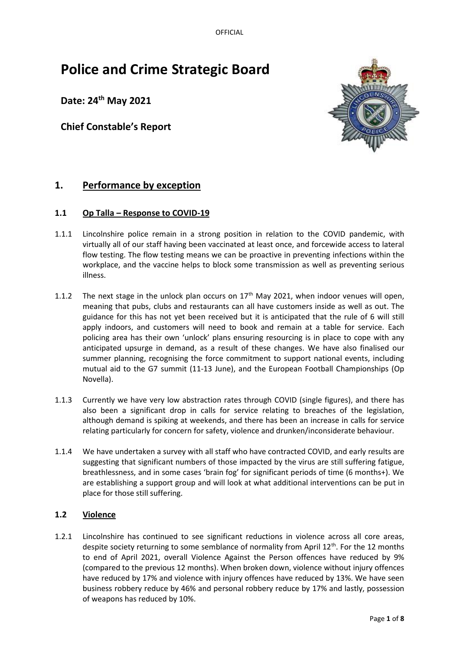OFFICIAL

# **Police and Crime Strategic Board**

**Date: 24th May 2021**

**Chief Constable's Report**



# **1. Performance by exception**

# **1.1 Op Talla – Response to COVID-19**

- 1.1.1 Lincolnshire police remain in a strong position in relation to the COVID pandemic, with virtually all of our staff having been vaccinated at least once, and forcewide access to lateral flow testing. The flow testing means we can be proactive in preventing infections within the workplace, and the vaccine helps to block some transmission as well as preventing serious illness.
- 1.1.2 The next stage in the unlock plan occurs on  $17<sup>th</sup>$  May 2021, when indoor venues will open, meaning that pubs, clubs and restaurants can all have customers inside as well as out. The guidance for this has not yet been received but it is anticipated that the rule of 6 will still apply indoors, and customers will need to book and remain at a table for service. Each policing area has their own 'unlock' plans ensuring resourcing is in place to cope with any anticipated upsurge in demand, as a result of these changes. We have also finalised our summer planning, recognising the force commitment to support national events, including mutual aid to the G7 summit (11-13 June), and the European Football Championships (Op Novella).
- 1.1.3 Currently we have very low abstraction rates through COVID (single figures), and there has also been a significant drop in calls for service relating to breaches of the legislation, although demand is spiking at weekends, and there has been an increase in calls for service relating particularly for concern for safety, violence and drunken/inconsiderate behaviour.
- 1.1.4 We have undertaken a survey with all staff who have contracted COVID, and early results are suggesting that significant numbers of those impacted by the virus are still suffering fatigue, breathlessness, and in some cases 'brain fog' for significant periods of time (6 months+). We are establishing a support group and will look at what additional interventions can be put in place for those still suffering.

# **1.2 Violence**

1.2.1 Lincolnshire has continued to see significant reductions in violence across all core areas, despite society returning to some semblance of normality from April 12<sup>th</sup>. For the 12 months to end of April 2021, overall Violence Against the Person offences have reduced by 9% (compared to the previous 12 months). When broken down, violence without injury offences have reduced by 17% and violence with injury offences have reduced by 13%. We have seen business robbery reduce by 46% and personal robbery reduce by 17% and lastly, possession of weapons has reduced by 10%.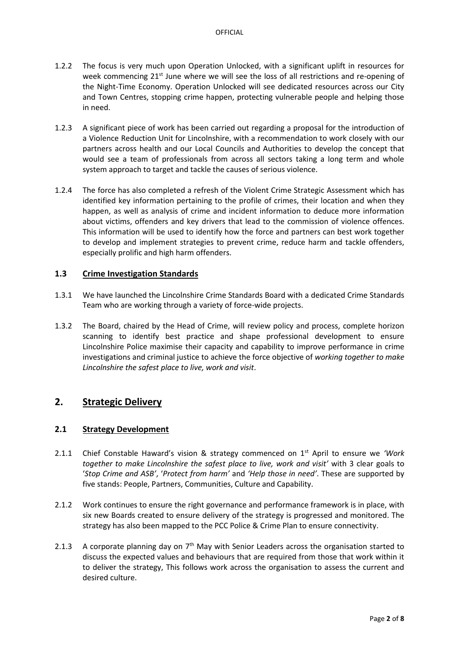- 1.2.2 The focus is very much upon Operation Unlocked, with a significant uplift in resources for week commencing 21<sup>st</sup> June where we will see the loss of all restrictions and re-opening of the Night-Time Economy. Operation Unlocked will see dedicated resources across our City and Town Centres, stopping crime happen, protecting vulnerable people and helping those in need.
- 1.2.3 A significant piece of work has been carried out regarding a proposal for the introduction of a Violence Reduction Unit for Lincolnshire, with a recommendation to work closely with our partners across health and our Local Councils and Authorities to develop the concept that would see a team of professionals from across all sectors taking a long term and whole system approach to target and tackle the causes of serious violence.
- 1.2.4 The force has also completed a refresh of the Violent Crime Strategic Assessment which has identified key information pertaining to the profile of crimes, their location and when they happen, as well as analysis of crime and incident information to deduce more information about victims, offenders and key drivers that lead to the commission of violence offences. This information will be used to identify how the force and partners can best work together to develop and implement strategies to prevent crime, reduce harm and tackle offenders, especially prolific and high harm offenders.

## **1.3 Crime Investigation Standards**

- 1.3.1 We have launched the Lincolnshire Crime Standards Board with a dedicated Crime Standards Team who are working through a variety of force-wide projects.
- 1.3.2 The Board, chaired by the Head of Crime, will review policy and process, complete horizon scanning to identify best practice and shape professional development to ensure Lincolnshire Police maximise their capacity and capability to improve performance in crime investigations and criminal justice to achieve the force objective of *working together to make Lincolnshire the safest place to live, work and visit*.

# **2. Strategic Delivery**

# **2.1 Strategy Development**

- 2.1.1 Chief Constable Haward's vision & strategy commenced on 1st April to ensure we *'Work together to make Lincolnshire the safest place to live, work and visit'* with 3 clear goals to '*Stop Crime and ASB'*, '*Protect from harm'* and *'Help those in need'*. These are supported by five stands: People, Partners, Communities, Culture and Capability.
- 2.1.2 Work continues to ensure the right governance and performance framework is in place, with six new Boards created to ensure delivery of the strategy is progressed and monitored. The strategy has also been mapped to the PCC Police & Crime Plan to ensure connectivity.
- 2.1.3 A corporate planning day on  $7<sup>th</sup>$  May with Senior Leaders across the organisation started to discuss the expected values and behaviours that are required from those that work within it to deliver the strategy, This follows work across the organisation to assess the current and desired culture.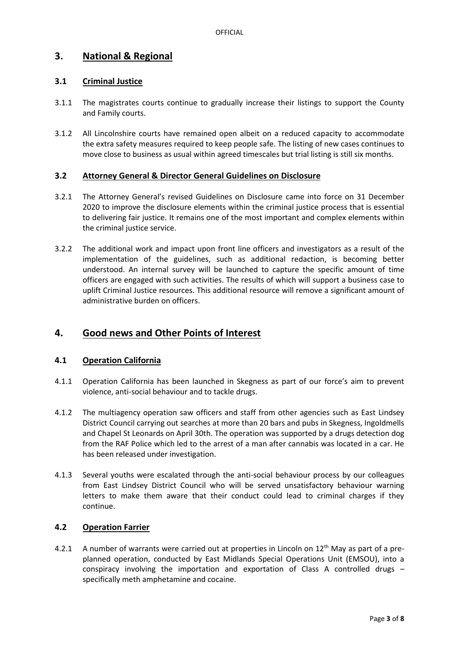# **3. National & Regional**

## **3.1 Criminal Justice**

- 3.1.1 The magistrates courts continue to gradually increase their listings to support the County and Family courts.
- 3.1.2 All Lincolnshire courts have remained open albeit on a reduced capacity to accommodate the extra safety measures required to keep people safe. The listing of new cases continues to move close to business as usual within agreed timescales but trial listing is still six months.

#### **3.2 Attorney General & Director General Guidelines on Disclosure**

- 3.2.1 The Attorney General's revised Guidelines on Disclosure came into force on 31 December 2020 to improve the disclosure elements within the criminal justice process that is essential to delivering fair justice. It remains one of the most important and complex elements within the criminal justice service.
- 3.2.2 The additional work and impact upon front line officers and investigators as a result of the implementation of the guidelines, such as additional redaction, is becoming better understood. An internal survey will be launched to capture the specific amount of time officers are engaged with such activities. The results of which will support a business case to uplift Criminal Justice resources. This additional resource will remove a significant amount of administrative burden on officers.

# **4. Good news and Other Points of Interest**

# **4.1 Operation California**

- 4.1.1 Operation California has been launched in Skegness as part of our force's aim to prevent violence, anti-social behaviour and to tackle drugs.
- 4.1.2 The multiagency operation saw officers and staff from other agencies such as East Lindsey District Council carrying out searches at more than 20 bars and pubs in Skegness, Ingoldmells and Chapel St Leonards on April 30th. The operation was supported by a drugs detection dog from the RAF Police which led to the arrest of a man after cannabis was located in a car. He has been released under investigation.
- 4.1.3 Several youths were escalated through the anti-social behaviour process by our colleagues from East Lindsey District Council who will be served unsatisfactory behaviour warning letters to make them aware that their conduct could lead to criminal charges if they continue.

#### **4.2 Operation Farrier**

4.2.1 A number of warrants were carried out at properties in Lincoln on  $12<sup>th</sup>$  May as part of a preplanned operation, conducted by East Midlands Special Operations Unit (EMSOU), into a conspiracy involving the importation and exportation of Class A controlled drugs – specifically meth amphetamine and cocaine.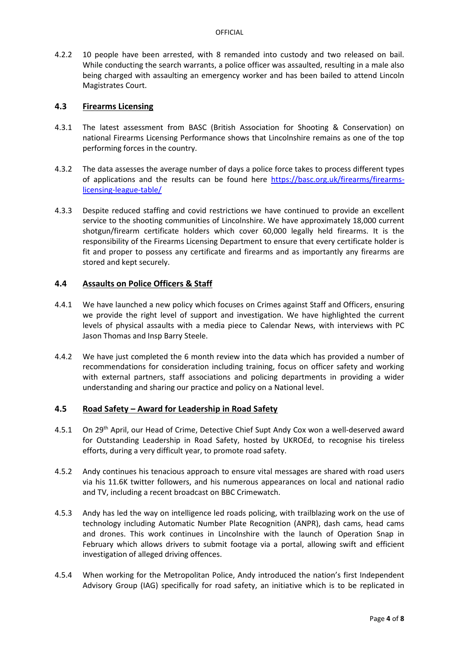4.2.2 10 people have been arrested, with 8 remanded into custody and two released on bail. While conducting the search warrants, a police officer was assaulted, resulting in a male also being charged with assaulting an emergency worker and has been bailed to attend Lincoln Magistrates Court.

#### **4.3 Firearms Licensing**

- 4.3.1 The latest assessment from BASC (British Association for Shooting & Conservation) on national Firearms Licensing Performance shows that Lincolnshire remains as one of the top performing forces in the country.
- 4.3.2 The data assesses the average number of days a police force takes to process different types of applications and the results can be found here [https://basc.org.uk/firearms/firearms](https://basc.org.uk/firearms/firearms-licensing-league-table/)[licensing-league-table/](https://basc.org.uk/firearms/firearms-licensing-league-table/)
- 4.3.3 Despite reduced staffing and covid restrictions we have continued to provide an excellent service to the shooting communities of Lincolnshire. We have approximately 18,000 current shotgun/firearm certificate holders which cover 60,000 legally held firearms. It is the responsibility of the Firearms Licensing Department to ensure that every certificate holder is fit and proper to possess any certificate and firearms and as importantly any firearms are stored and kept securely.

#### **4.4 Assaults on Police Officers & Staff**

- 4.4.1 We have launched a new policy which focuses on Crimes against Staff and Officers, ensuring we provide the right level of support and investigation. We have highlighted the current levels of physical assaults with a media piece to Calendar News, with interviews with PC Jason Thomas and Insp Barry Steele.
- 4.4.2 We have just completed the 6 month review into the data which has provided a number of recommendations for consideration including training, focus on officer safety and working with external partners, staff associations and policing departments in providing a wider understanding and sharing our practice and policy on a National level.

#### **4.5 Road Safety – Award for Leadership in Road Safety**

- 4.5.1 On 29<sup>th</sup> April, our Head of Crime, Detective Chief Supt Andy Cox won a well-deserved award for Outstanding Leadership in Road Safety, hosted by UKROEd, to recognise his tireless efforts, during a very difficult year, to promote road safety.
- 4.5.2 Andy continues his tenacious approach to ensure vital messages are shared with road users via his 11.6K twitter followers, and his numerous appearances on local and national radio and TV, including a recent broadcast on BBC Crimewatch.
- 4.5.3 Andy has led the way on intelligence led roads policing, with trailblazing work on the use of technology including Automatic Number Plate Recognition (ANPR), dash cams, head cams and drones. This work continues in Lincolnshire with the launch of Operation Snap in February which allows drivers to submit footage via a portal, allowing swift and efficient investigation of alleged driving offences.
- 4.5.4 When working for the Metropolitan Police, Andy introduced the nation's first Independent Advisory Group (IAG) specifically for road safety, an initiative which is to be replicated in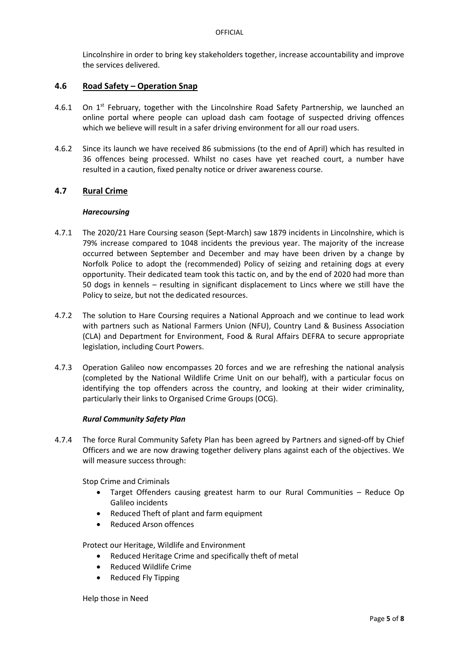Lincolnshire in order to bring key stakeholders together, increase accountability and improve the services delivered.

#### **4.6 Road Safety – Operation Snap**

- 4.6.1 On  $1^{st}$  February, together with the Lincolnshire Road Safety Partnership, we launched an online portal where people can upload dash cam footage of suspected driving offences which we believe will result in a safer driving environment for all our road users.
- 4.6.2 Since its launch we have received 86 submissions (to the end of April) which has resulted in 36 offences being processed. Whilst no cases have yet reached court, a number have resulted in a caution, fixed penalty notice or driver awareness course.

## **4.7 Rural Crime**

#### *Harecoursing*

- 4.7.1 The 2020/21 Hare Coursing season (Sept-March) saw 1879 incidents in Lincolnshire, which is 79% increase compared to 1048 incidents the previous year. The majority of the increase occurred between September and December and may have been driven by a change by Norfolk Police to adopt the (recommended) Policy of seizing and retaining dogs at every opportunity. Their dedicated team took this tactic on, and by the end of 2020 had more than 50 dogs in kennels – resulting in significant displacement to Lincs where we still have the Policy to seize, but not the dedicated resources.
- 4.7.2 The solution to Hare Coursing requires a National Approach and we continue to lead work with partners such as National Farmers Union (NFU), Country Land & Business Association (CLA) and Department for Environment, Food & Rural Affairs DEFRA to secure appropriate legislation, including Court Powers.
- 4.7.3 Operation Galileo now encompasses 20 forces and we are refreshing the national analysis (completed by the National Wildlife Crime Unit on our behalf), with a particular focus on identifying the top offenders across the country, and looking at their wider criminality, particularly their links to Organised Crime Groups (OCG).

#### *Rural Community Safety Plan*

4.7.4 The force Rural Community Safety Plan has been agreed by Partners and signed-off by Chief Officers and we are now drawing together delivery plans against each of the objectives. We will measure success through:

Stop Crime and Criminals

- Target Offenders causing greatest harm to our Rural Communities Reduce Op Galileo incidents
- Reduced Theft of plant and farm equipment
- Reduced Arson offences

Protect our Heritage, Wildlife and Environment

- Reduced Heritage Crime and specifically theft of metal
- Reduced Wildlife Crime
- Reduced Fly Tipping

Help those in Need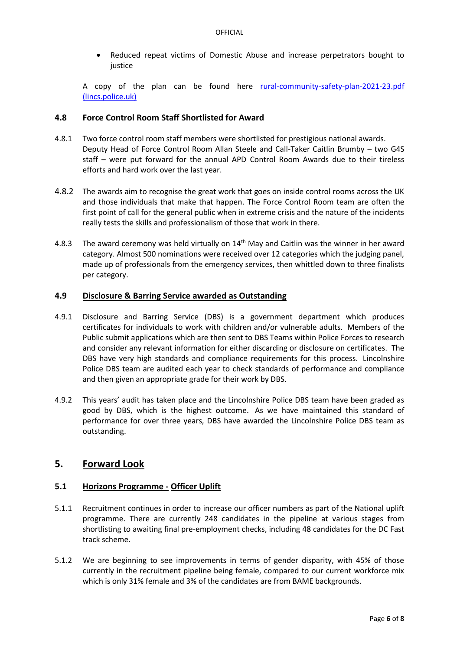• Reduced repeat victims of Domestic Abuse and increase perpetrators bought to justice

A copy of the plan can be found here rural-community-safety-plan-2021-23.pdf [\(lincs.police.uk\)](https://www.lincs.police.uk/media/186203/rural-community-safety-plan-2021-23.pdf)

#### **4.8 Force Control Room Staff Shortlisted for Award**

- 4.8.1 Two force control room staff members were shortlisted for prestigious national awards. Deputy Head of Force Control Room Allan Steele and Call-Taker Caitlin Brumby – two G4S staff – were put forward for the annual APD Control Room Awards due to their tireless efforts and hard work over the last year.
- 4.8.2 The awards aim to recognise the great work that goes on inside control rooms across the UK and those individuals that make that happen. The Force Control Room team are often the first point of call for the general public when in extreme crisis and the nature of the incidents really tests the skills and professionalism of those that work in there.
- 4.8.3 The award ceremony was held virtually on 14<sup>th</sup> May and Caitlin was the winner in her award category. Almost 500 nominations were received over 12 categories which the judging panel, made up of professionals from the emergency services, then whittled down to three finalists per category.

#### **4.9 Disclosure & Barring Service awarded as Outstanding**

- 4.9.1 Disclosure and Barring Service (DBS) is a government department which produces certificates for individuals to work with children and/or vulnerable adults. Members of the Public submit applications which are then sent to DBS Teams within Police Forces to research and consider any relevant information for either discarding or disclosure on certificates. The DBS have very high standards and compliance requirements for this process. Lincolnshire Police DBS team are audited each year to check standards of performance and compliance and then given an appropriate grade for their work by DBS.
- 4.9.2 This years' audit has taken place and the Lincolnshire Police DBS team have been graded as good by DBS, which is the highest outcome. As we have maintained this standard of performance for over three years, DBS have awarded the Lincolnshire Police DBS team as outstanding.

# **5. Forward Look**

#### **5.1 Horizons Programme - Officer Uplift**

- 5.1.1 Recruitment continues in order to increase our officer numbers as part of the National uplift programme. There are currently 248 candidates in the pipeline at various stages from shortlisting to awaiting final pre-employment checks, including 48 candidates for the DC Fast track scheme.
- 5.1.2 We are beginning to see improvements in terms of gender disparity, with 45% of those currently in the recruitment pipeline being female, compared to our current workforce mix which is only 31% female and 3% of the candidates are from BAME backgrounds.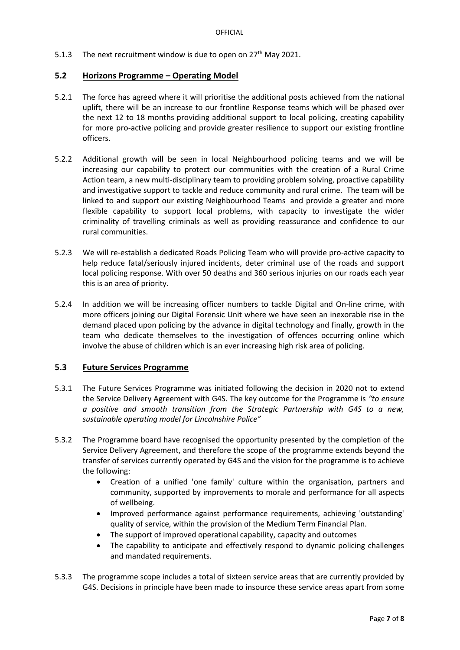5.1.3 The next recruitment window is due to open on  $27<sup>th</sup>$  May 2021.

#### **5.2 Horizons Programme – Operating Model**

- 5.2.1 The force has agreed where it will prioritise the additional posts achieved from the national uplift, there will be an increase to our frontline Response teams which will be phased over the next 12 to 18 months providing additional support to local policing, creating capability for more pro-active policing and provide greater resilience to support our existing frontline officers.
- 5.2.2 Additional growth will be seen in local Neighbourhood policing teams and we will be increasing our capability to protect our communities with the creation of a Rural Crime Action team, a new multi-disciplinary team to providing problem solving, proactive capability and investigative support to tackle and reduce community and rural crime. The team will be linked to and support our existing Neighbourhood Teams and provide a greater and more flexible capability to support local problems, with capacity to investigate the wider criminality of travelling criminals as well as providing reassurance and confidence to our rural communities.
- 5.2.3 We will re-establish a dedicated Roads Policing Team who will provide pro-active capacity to help reduce fatal/seriously injured incidents, deter criminal use of the roads and support local policing response. With over 50 deaths and 360 serious injuries on our roads each year this is an area of priority.
- 5.2.4 In addition we will be increasing officer numbers to tackle Digital and On-line crime, with more officers joining our Digital Forensic Unit where we have seen an inexorable rise in the demand placed upon policing by the advance in digital technology and finally, growth in the team who dedicate themselves to the investigation of offences occurring online which involve the abuse of children which is an ever increasing high risk area of policing.

#### **5.3 Future Services Programme**

- 5.3.1 The Future Services Programme was initiated following the decision in 2020 not to extend the Service Delivery Agreement with G4S. The key outcome for the Programme is *"to ensure a positive and smooth transition from the Strategic Partnership with G4S to a new, sustainable operating model for Lincolnshire Police"*
- 5.3.2 The Programme board have recognised the opportunity presented by the completion of the Service Delivery Agreement, and therefore the scope of the programme extends beyond the transfer of services currently operated by G4S and the vision for the programme is to achieve the following:
	- Creation of a unified 'one family' culture within the organisation, partners and community, supported by improvements to morale and performance for all aspects of wellbeing.
	- Improved performance against performance requirements, achieving 'outstanding' quality of service, within the provision of the Medium Term Financial Plan.
	- The support of improved operational capability, capacity and outcomes
	- The capability to anticipate and effectively respond to dynamic policing challenges and mandated requirements.
- 5.3.3 The programme scope includes a total of sixteen service areas that are currently provided by G4S. Decisions in principle have been made to insource these service areas apart from some